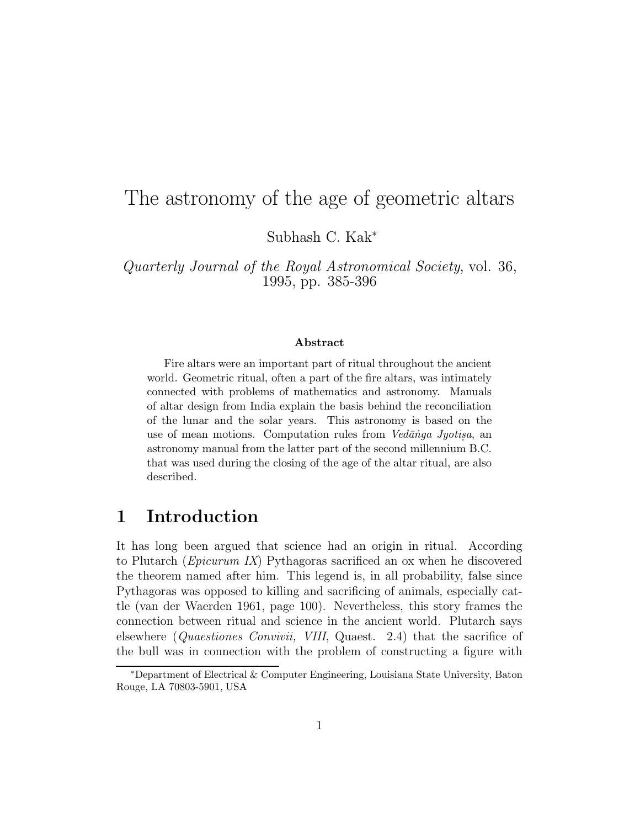# The astronomy of the age of geometric altars

Subhash C. Kak<sup>∗</sup>

Quarterly Journal of the Royal Astronomical Society, vol. 36, 1995, pp. 385-396

#### **Abstract**

Fire altars were an important part of ritual throughout the ancient world. Geometric ritual, often a part of the fire altars, was intimately connected with problems of mathematics and astronomy. Manuals of altar design from India explain the basis behind the reconciliation of the lunar and the solar years. This astronomy is based on the use of mean motions. Computation rules from  $V_{ed}\bar{a}$  *nga Jyotisa*, an astronomy manual from the latter part of the second millennium B.C. that was used during the closing of the age of the altar ritual, are also described.

### **1 Introduction**

It has long been argued that science had an origin in ritual. According to Plutarch (Epicurum IX) Pythagoras sacrificed an ox when he discovered the theorem named after him. This legend is, in all probability, false since Pythagoras was opposed to killing and sacrificing of animals, especially cattle (van der Waerden 1961, page 100). Nevertheless, this story frames the connection between ritual and science in the ancient world. Plutarch says elsewhere (Quaestiones Convivii, VIII, Quaest. 2.4) that the sacrifice of the bull was in connection with the problem of constructing a figure with

<sup>∗</sup>Department of Electrical & Computer Engineering, Louisiana State University, Baton Rouge, LA 70803-5901, USA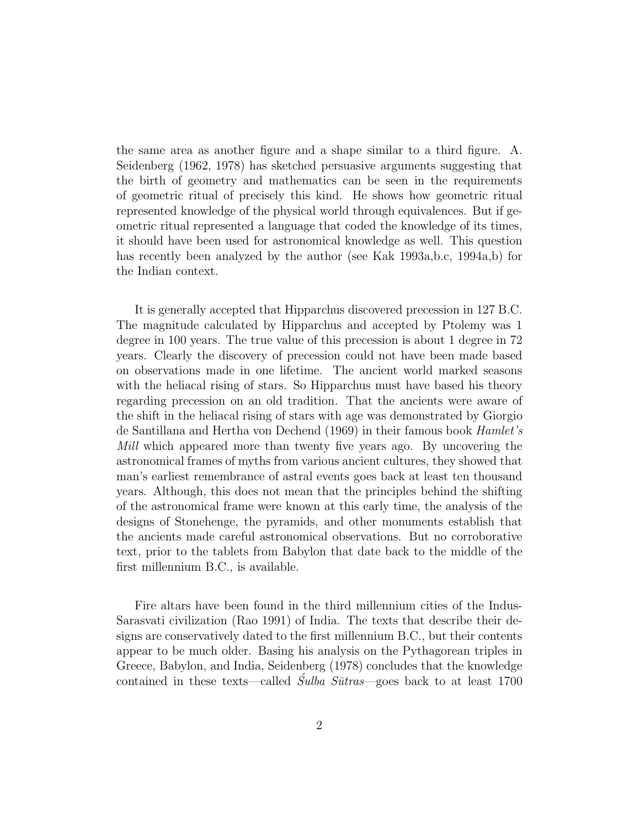the same area as another figure and a shape similar to a third figure. A. Seidenberg (1962, 1978) has sketched persuasive arguments suggesting that the birth of geometry and mathematics can be seen in the requirements of geometric ritual of precisely this kind. He shows how geometric ritual represented knowledge of the physical world through equivalences. But if geometric ritual represented a language that coded the knowledge of its times, it should have been used for astronomical knowledge as well. This question has recently been analyzed by the author (see Kak 1993a,b.c, 1994a,b) for the Indian context.

It is generally accepted that Hipparchus discovered precession in 127 B.C. The magnitude calculated by Hipparchus and accepted by Ptolemy was 1 degree in 100 years. The true value of this precession is about 1 degree in 72 years. Clearly the discovery of precession could not have been made based on observations made in one lifetime. The ancient world marked seasons with the heliacal rising of stars. So Hipparchus must have based his theory regarding precession on an old tradition. That the ancients were aware of the shift in the heliacal rising of stars with age was demonstrated by Giorgio de Santillana and Hertha von Dechend (1969) in their famous book Hamlet's Mill which appeared more than twenty five years ago. By uncovering the astronomical frames of myths from various ancient cultures, they showed that man's earliest remembrance of astral events goes back at least ten thousand years. Although, this does not mean that the principles behind the shifting of the astronomical frame were known at this early time, the analysis of the designs of Stonehenge, the pyramids, and other monuments establish that the ancients made careful astronomical observations. But no corroborative text, prior to the tablets from Babylon that date back to the middle of the first millennium B.C., is available.

Fire altars have been found in the third millennium cities of the Indus-Sarasvati civilization (Rao 1991) of India. The texts that describe their designs are conservatively dated to the first millennium B.C., but their contents appear to be much older. Basing his analysis on the Pythagorean triples in Greece, Babylon, and India, Seidenberg (1978) concludes that the knowledge contained in these texts—called  $\tilde{S}ulba Sūtras$  goes back to at least 1700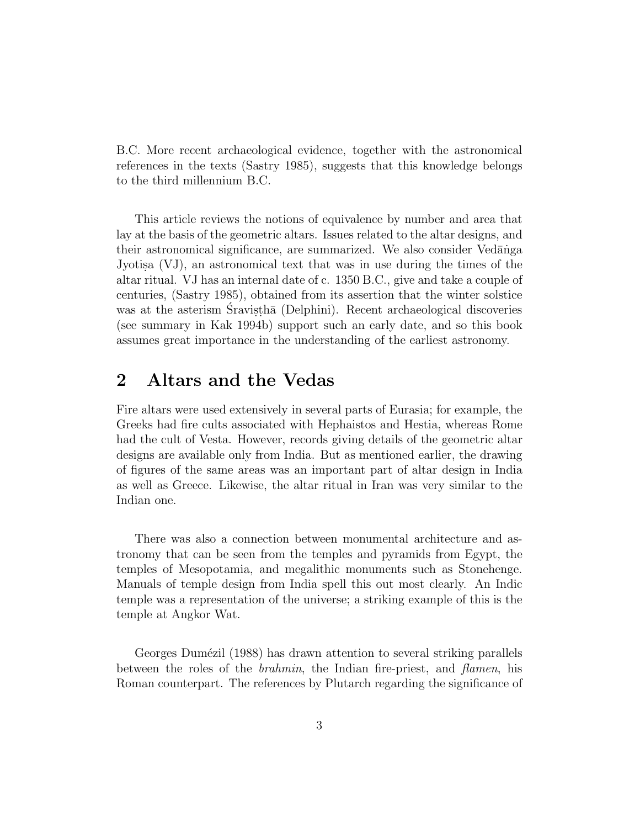B.C. More recent archaeological evidence, together with the astronomical references in the texts (Sastry 1985), suggests that this knowledge belongs to the third millennium B.C.

This article reviews the notions of equivalence by number and area that lay at the basis of the geometric altars. Issues related to the altar designs, and their astronomical significance, are summarized. We also consider Vedanga Jyotisa  $(VJ)$ , an astronomical text that was in use during the times of the altar ritual. VJ has an internal date of c. 1350 B.C., give and take a couple of centuries, (Sastry 1985), obtained from its assertion that the winter solstice was at the asterism Sravistha (Delphini). Recent archaeological discoveries (see summary in Kak 1994b) support such an early date, and so this book assumes great importance in the understanding of the earliest astronomy.

# **2 Altars and the Vedas**

Fire altars were used extensively in several parts of Eurasia; for example, the Greeks had fire cults associated with Hephaistos and Hestia, whereas Rome had the cult of Vesta. However, records giving details of the geometric altar designs are available only from India. But as mentioned earlier, the drawing of figures of the same areas was an important part of altar design in India as well as Greece. Likewise, the altar ritual in Iran was very similar to the Indian one.

There was also a connection between monumental architecture and astronomy that can be seen from the temples and pyramids from Egypt, the temples of Mesopotamia, and megalithic monuments such as Stonehenge. Manuals of temple design from India spell this out most clearly. An Indic temple was a representation of the universe; a striking example of this is the temple at Angkor Wat.

Georges Dumézil (1988) has drawn attention to several striking parallels between the roles of the *brahmin*, the Indian fire-priest, and *flamen*, his Roman counterpart. The references by Plutarch regarding the significance of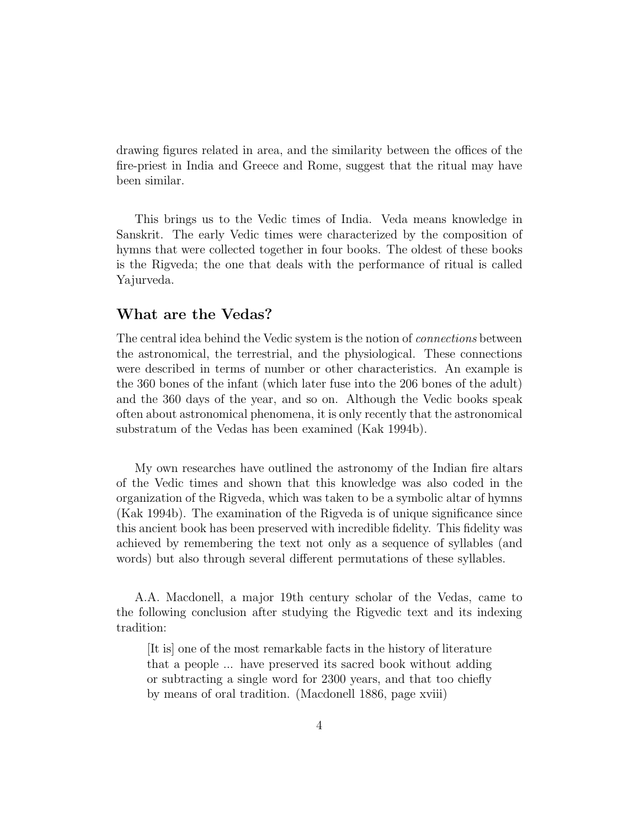drawing figures related in area, and the similarity between the offices of the fire-priest in India and Greece and Rome, suggest that the ritual may have been similar.

This brings us to the Vedic times of India. Veda means knowledge in Sanskrit. The early Vedic times were characterized by the composition of hymns that were collected together in four books. The oldest of these books is the Rigveda; the one that deals with the performance of ritual is called Yajurveda.

#### **What are the Vedas?**

The central idea behind the Vedic system is the notion of connections between the astronomical, the terrestrial, and the physiological. These connections were described in terms of number or other characteristics. An example is the 360 bones of the infant (which later fuse into the 206 bones of the adult) and the 360 days of the year, and so on. Although the Vedic books speak often about astronomical phenomena, it is only recently that the astronomical substratum of the Vedas has been examined (Kak 1994b).

My own researches have outlined the astronomy of the Indian fire altars of the Vedic times and shown that this knowledge was also coded in the organization of the Rigveda, which was taken to be a symbolic altar of hymns (Kak 1994b). The examination of the Rigveda is of unique significance since this ancient book has been preserved with incredible fidelity. This fidelity was achieved by remembering the text not only as a sequence of syllables (and words) but also through several different permutations of these syllables.

A.A. Macdonell, a major 19th century scholar of the Vedas, came to the following conclusion after studying the Rigvedic text and its indexing tradition:

[It is] one of the most remarkable facts in the history of literature that a people ... have preserved its sacred book without adding or subtracting a single word for 2300 years, and that too chiefly by means of oral tradition. (Macdonell 1886, page xviii)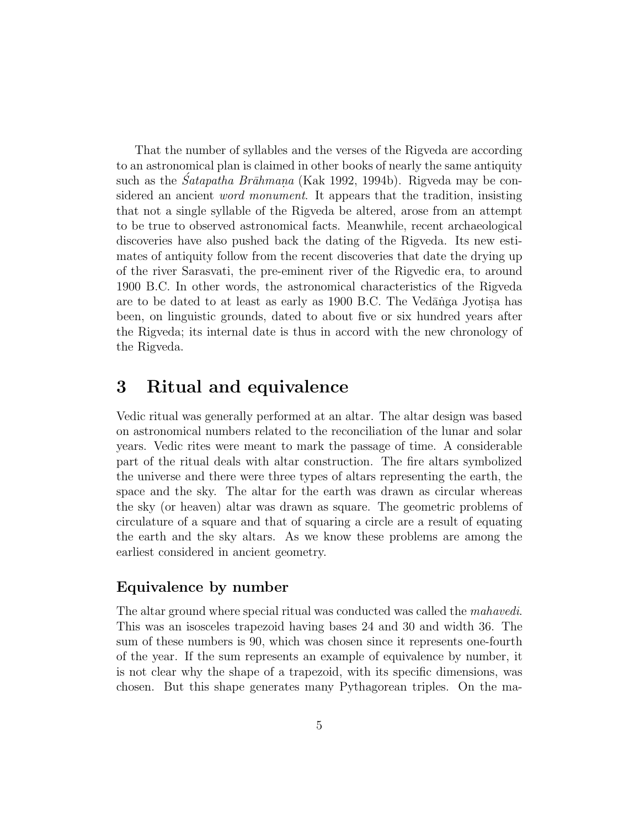That the number of syllables and the verses of the Rigveda are according to an astronomical plan is claimed in other books of nearly the same antiquity such as the *Satapatha Brāhmana* (Kak 1992, 1994b). Rigveda may be considered an ancient word monument. It appears that the tradition, insisting that not a single syllable of the Rigveda be altered, arose from an attempt to be true to observed astronomical facts. Meanwhile, recent archaeological discoveries have also pushed back the dating of the Rigveda. Its new estimates of antiquity follow from the recent discoveries that date the drying up of the river Sarasvati, the pre-eminent river of the Rigvedic era, to around 1900 B.C. In other words, the astronomical characteristics of the Rigveda are to be dated to at least as early as 1900 B.C. The Vedanga Jyotisa has been, on linguistic grounds, dated to about five or six hundred years after the Rigveda; its internal date is thus in accord with the new chronology of the Rigveda.

# **3 Ritual and equivalence**

Vedic ritual was generally performed at an altar. The altar design was based on astronomical numbers related to the reconciliation of the lunar and solar years. Vedic rites were meant to mark the passage of time. A considerable part of the ritual deals with altar construction. The fire altars symbolized the universe and there were three types of altars representing the earth, the space and the sky. The altar for the earth was drawn as circular whereas the sky (or heaven) altar was drawn as square. The geometric problems of circulature of a square and that of squaring a circle are a result of equating the earth and the sky altars. As we know these problems are among the earliest considered in ancient geometry.

### **Equivalence by number**

The altar ground where special ritual was conducted was called the mahavedi. This was an isosceles trapezoid having bases 24 and 30 and width 36. The sum of these numbers is 90, which was chosen since it represents one-fourth of the year. If the sum represents an example of equivalence by number, it is not clear why the shape of a trapezoid, with its specific dimensions, was chosen. But this shape generates many Pythagorean triples. On the ma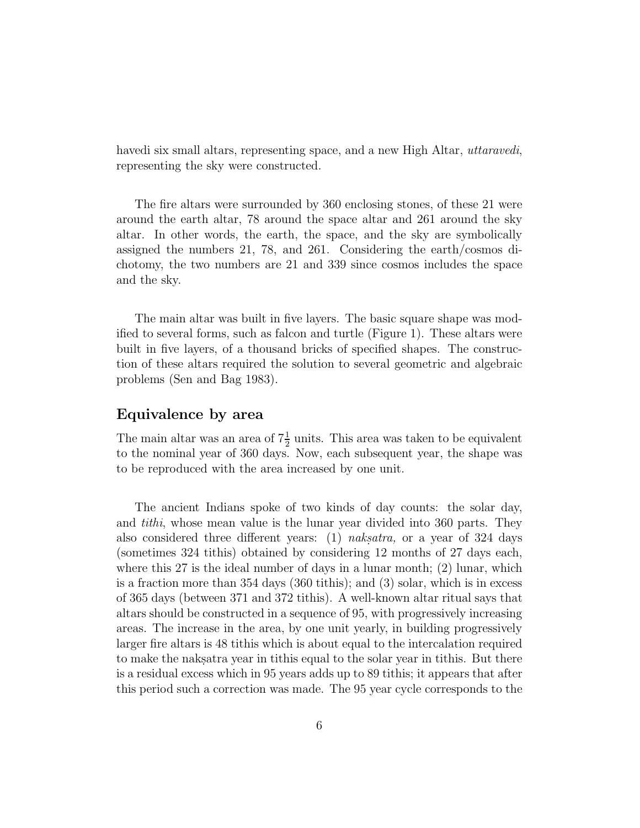havedi six small altars, representing space, and a new High Altar, uttaravedi, representing the sky were constructed.

The fire altars were surrounded by 360 enclosing stones, of these 21 were around the earth altar, 78 around the space altar and 261 around the sky altar. In other words, the earth, the space, and the sky are symbolically assigned the numbers 21, 78, and 261. Considering the earth/cosmos dichotomy, the two numbers are 21 and 339 since cosmos includes the space and the sky.

The main altar was built in five layers. The basic square shape was modified to several forms, such as falcon and turtle (Figure 1). These altars were built in five layers, of a thousand bricks of specified shapes. The construction of these altars required the solution to several geometric and algebraic problems (Sen and Bag 1983).

#### **Equivalence by area**

The main altar was an area of  $7\frac{1}{2}$  units. This area was taken to be equivalent to the nominal year of 360 days. Now, each subsequent year, the shape was to be reproduced with the area increased by one unit.

The ancient Indians spoke of two kinds of day counts: the solar day, and tithi, whose mean value is the lunar year divided into 360 parts. They also considered three different years: (1) naksatra, or a year of 324 days (sometimes 324 tithis) obtained by considering 12 months of 27 days each, where this 27 is the ideal number of days in a lunar month; (2) lunar, which is a fraction more than 354 days (360 tithis); and (3) solar, which is in excess of 365 days (between 371 and 372 tithis). A well-known altar ritual says that altars should be constructed in a sequence of 95, with progressively increasing areas. The increase in the area, by one unit yearly, in building progressively larger fire altars is 48 tithis which is about equal to the intercalation required to make the naks atracted year in tithis equal to the solar year in tithis. But there is a residual excess which in 95 years adds up to 89 tithis; it appears that after this period such a correction was made. The 95 year cycle corresponds to the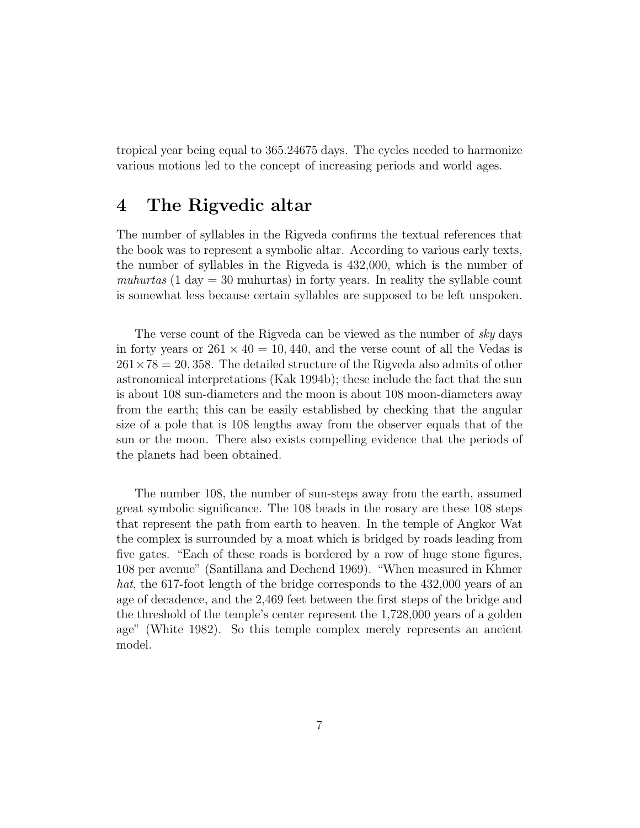tropical year being equal to 365.24675 days. The cycles needed to harmonize various motions led to the concept of increasing periods and world ages.

### **4 The Rigvedic altar**

The number of syllables in the Rigveda confirms the textual references that the book was to represent a symbolic altar. According to various early texts, the number of syllables in the Rigveda is 432,000, which is the number of muhurtas (1 day  $=$  30 muhurtas) in forty years. In reality the syllable count is somewhat less because certain syllables are supposed to be left unspoken.

The verse count of the Rigveda can be viewed as the number of sky days in forty years or  $261 \times 40 = 10,440$ , and the verse count of all the Vedas is  $261\times78 = 20,358$ . The detailed structure of the Rigveda also admits of other astronomical interpretations (Kak 1994b); these include the fact that the sun is about 108 sun-diameters and the moon is about 108 moon-diameters away from the earth; this can be easily established by checking that the angular size of a pole that is 108 lengths away from the observer equals that of the sun or the moon. There also exists compelling evidence that the periods of the planets had been obtained.

The number 108, the number of sun-steps away from the earth, assumed great symbolic significance. The 108 beads in the rosary are these 108 steps that represent the path from earth to heaven. In the temple of Angkor Wat the complex is surrounded by a moat which is bridged by roads leading from five gates. "Each of these roads is bordered by a row of huge stone figures, 108 per avenue" (Santillana and Dechend 1969). "When measured in Khmer hat, the 617-foot length of the bridge corresponds to the 432,000 years of an age of decadence, and the 2,469 feet between the first steps of the bridge and the threshold of the temple's center represent the 1,728,000 years of a golden age" (White 1982). So this temple complex merely represents an ancient model.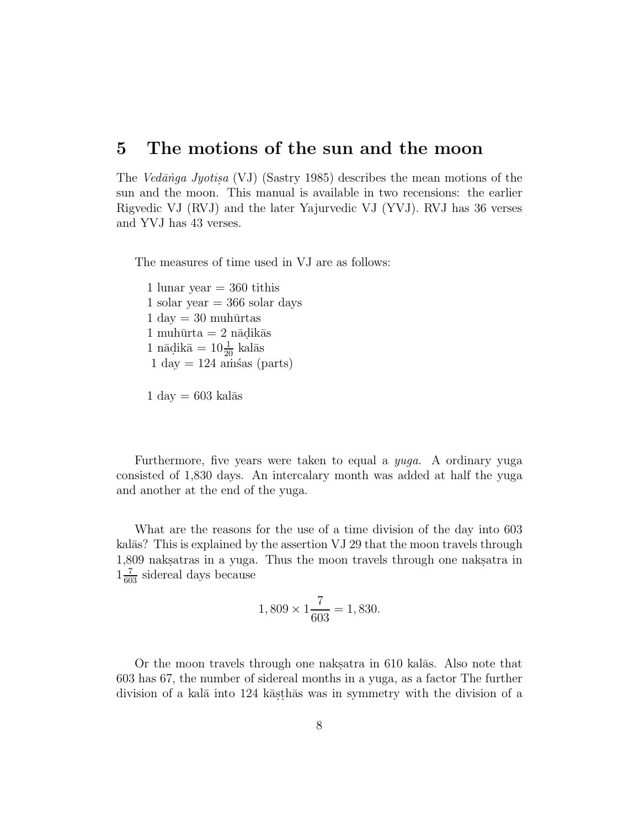### **5 The motions of the sun and the moon**

The Vedānga Jyotisa (VJ) (Sastry 1985) describes the mean motions of the sun and the moon. This manual is available in two recensions: the earlier Rigvedic VJ (RVJ) and the later Yajurvedic VJ (YVJ). RVJ has 36 verses and YVJ has 43 verses.

The measures of time used in VJ are as follows:

1 lunar year  $=$  360 tithis 1 solar year  $=$  366 solar days  $1 \text{ day} = 30 \text{ muhūrtas}$  $1 \text{ muhūrta} = 2 \text{ nādikās}$ 1 nādikā  $= 10\frac{1}{20}$  kalās  $1 \text{ day} = 124 \text{ amšas (parts)}$ 

$$
1 \text{ day} = 603 \text{ kalās}
$$

Furthermore, five years were taken to equal a yuga. A ordinary yuga consisted of 1,830 days. An intercalary month was added at half the yuga and another at the end of the yuga.

What are the reasons for the use of a time division of the day into 603 kalās? This is explained by the assertion VJ 29 that the moon travels through 1,809 naks atras in a yuga. Thus the moon travels through one nakes atra  $1\frac{7}{603}$  sidereal days because

$$
1,809 \times 1 \frac{7}{603} = 1,830.
$$

Or the moon travels through one nakes atra in 610 kalās. Also note that 603 has 67, the number of sidereal months in a yuga, as a factor The further division of a kalā into 124 kās thās was in symmetry with the division of a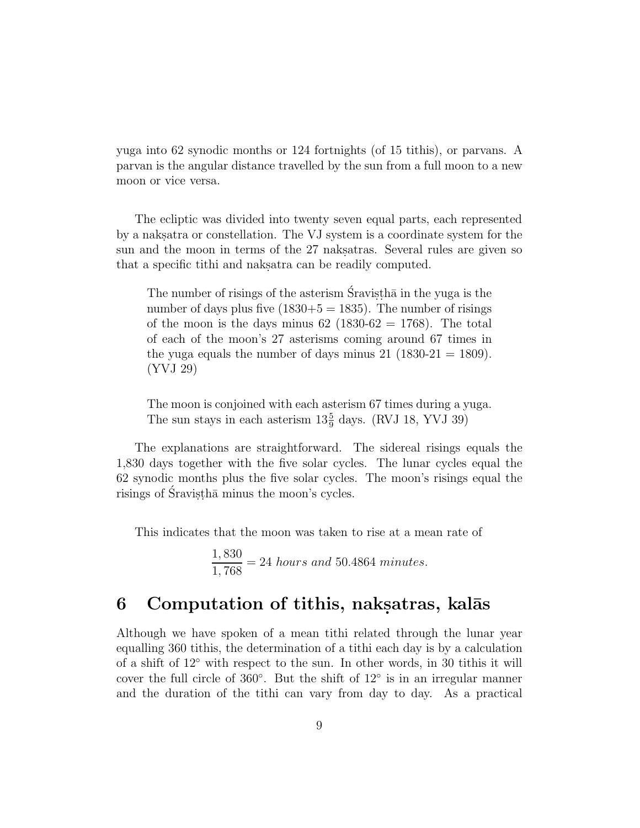yuga into 62 synodic months or 124 fortnights (of 15 tithis), or parvans. A parvan is the angular distance travelled by the sun from a full moon to a new moon or vice versa.

The ecliptic was divided into twenty seven equal parts, each represented by a naksatra or constellation. The VJ system is a coordinate system for the sun and the moon in terms of the 27 naks atras. Several rules are given so that a specific tithi and nakes at a be readily computed.

The number of risings of the asterism  $\hat{S}$ ravisth $\bar{a}$  in the yuga is the number of days plus five  $(1830+5 = 1835)$ . The number of risings of the moon is the days minus  $62$  (1830- $62 = 1768$ ). The total of each of the moon's 27 asterisms coming around 67 times in the yuga equals the number of days minus  $21$  (1830-21 = 1809). (YVJ 29)

The moon is conjoined with each asterism 67 times during a yuga. The sun stays in each asterism  $13\frac{5}{9}$  days. (RVJ 18, YVJ 39)

The explanations are straightforward. The sidereal risings equals the 1,830 days together with the five solar cycles. The lunar cycles equal the 62 synodic months plus the five solar cycles. The moon's risings equal the risings of Śravisthā minus the moon's cycles.

This indicates that the moon was taken to rise at a mean rate of

$$
\frac{1,830}{1,768} = 24 \text{ hours and } 50.4864 \text{ minutes.}
$$

# **6** Computation of tithis, naksatras, kalās

Although we have spoken of a mean tithi related through the lunar year equalling 360 tithis, the determination of a tithi each day is by a calculation of a shift of 12◦ with respect to the sun. In other words, in 30 tithis it will cover the full circle of 360◦. But the shift of 12◦ is in an irregular manner and the duration of the tithi can vary from day to day. As a practical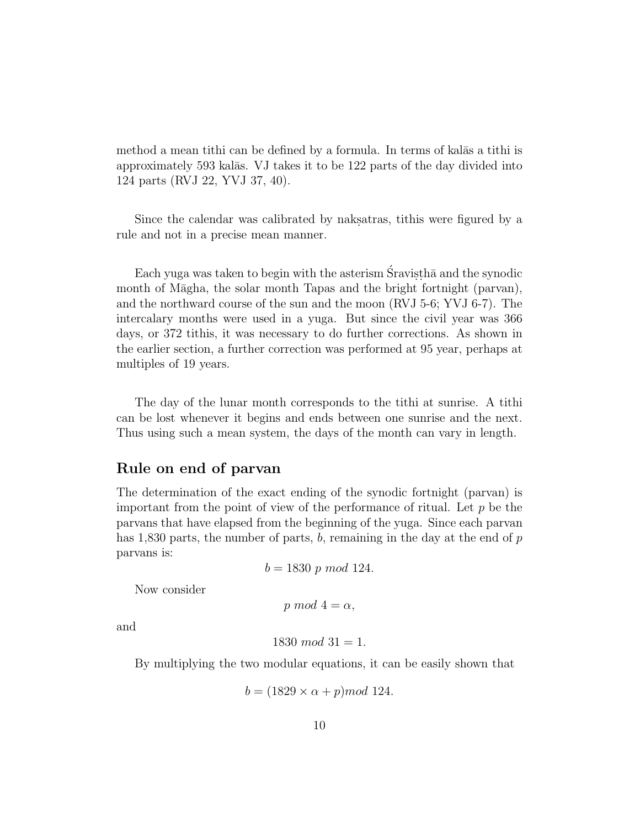method a mean tithi can be defined by a formula. In terms of kalas a tithi is approximately 593 kalās. VJ takes it to be 122 parts of the day divided into 124 parts (RVJ 22, YVJ 37, 40).

Since the calendar was calibrated by nakes atriviantly were figured by a rule and not in a precise mean manner.

Each yuga was taken to begin with the asterism  $S$ ravisth $\bar{a}$  and the synodic month of Māgha, the solar month Tapas and the bright fortnight (parvan), and the northward course of the sun and the moon (RVJ 5-6; YVJ 6-7). The intercalary months were used in a yuga. But since the civil year was 366 days, or 372 tithis, it was necessary to do further corrections. As shown in the earlier section, a further correction was performed at 95 year, perhaps at multiples of 19 years.

The day of the lunar month corresponds to the tithi at sunrise. A tithi can be lost whenever it begins and ends between one sunrise and the next. Thus using such a mean system, the days of the month can vary in length.

#### **Rule on end of parvan**

The determination of the exact ending of the synodic fortnight (parvan) is important from the point of view of the performance of ritual. Let  $p$  be the parvans that have elapsed from the beginning of the yuga. Since each parvan has 1,830 parts, the number of parts,  $b$ , remaining in the day at the end of  $p$ parvans is:

 $b = 1830 \ p \ mod \ 124.$ 

Now consider

```
p mod 4 = \alpha,
```
and

$$
1830 \; mod \; 31 = 1.
$$

By multiplying the two modular equations, it can be easily shown that

$$
b = (1829 \times \alpha + p) \mod 124.
$$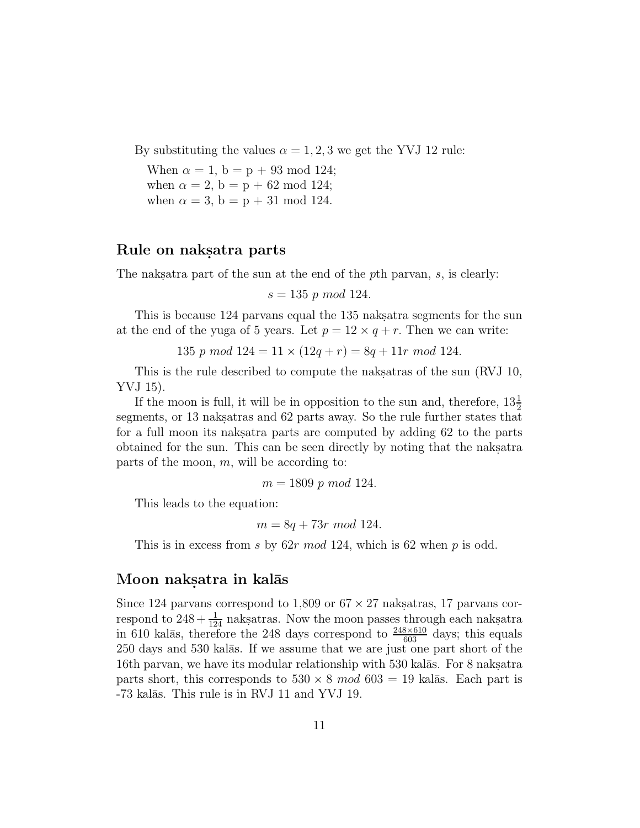By substituting the values  $\alpha = 1, 2, 3$  we get the YVJ 12 rule:

When  $\alpha = 1$ ,  $b = p + 93 \text{ mod } 124$ ; when  $\alpha = 2$ ,  $b = p + 62 \text{ mod } 124$ ; when  $\alpha = 3$ ,  $b = p + 31 \mod 124$ .

### Rule on naksatra parts

The nakstra part of the sun at the end of the pth parvan,  $s$ , is clearly:

 $s = 135 \, p \, mod \, 124.$ 

This is because 124 parvans equal the 135 naks atra segments for the sun at the end of the yuga of 5 years. Let  $p = 12 \times q + r$ . Then we can write:

135 p mod  $124 = 11 \times (12q + r) = 8q + 11r \mod 124$ .

This is the rule described to compute the nakes at as of the sun (RVJ 10, YVJ 15).

If the moon is full, it will be in opposition to the sun and, therefore,  $13\frac{1}{2}$ segments, or 13 naks atras and 62 parts away. So the rule further states that for a full moon its nakes are computed by adding 62 to the parts obtained for the sun. This can be seen directly by noting that the nakes atra parts of the moon,  $m$ , will be according to:

 $m = 1809$  p mod 124.

This leads to the equation:

 $m = 8q + 73r \mod 124$ .

This is in excess from s by  $62r \mod 124$ , which is 62 when p is odd.

### Moon naksatra in kalās

Since 124 parvans correspond to 1,809 or  $67 \times 27$  naksterns, 17 parvans correspond to  $248 + \frac{1}{124}$  naksatras. Now the moon passes through each naksatra in 610 kalās, therefore the 248 days correspond to  $\frac{248\times610}{603}$  days; this equals 250 days and 530 kalās. If we assume that we are just one part short of the 16th parvan, we have its modular relationship with  $530$  kal $\bar{a}$ s. For 8 naks.atra parts short, this corresponds to  $530 \times 8 \mod 603 = 19$  kalās. Each part is -73 kalās. This rule is in RVJ 11 and YVJ 19.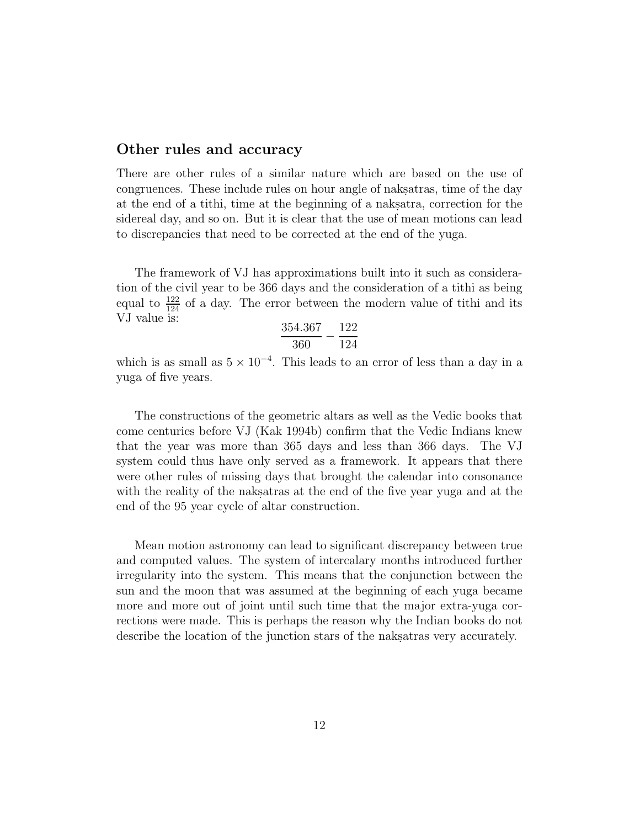### **Other rules and accuracy**

There are other rules of a similar nature which are based on the use of congruences. These include rules on hour angle of nakes time of the day at the end of a tithi, time at the beginning of a naksatra, correction for the sidereal day, and so on. But it is clear that the use of mean motions can lead to discrepancies that need to be corrected at the end of the yuga.

The framework of VJ has approximations built into it such as consideration of the civil year to be 366 days and the consideration of a tithi as being equal to  $\frac{122}{124}$  of a day. The error between the modern value of tithi and its VJ value is:

$$
\frac{354.367}{360} - \frac{122}{124}
$$

which is as small as  $5 \times 10^{-4}$ . This leads to an error of less than a day in a yuga of five years.

The constructions of the geometric altars as well as the Vedic books that come centuries before VJ (Kak 1994b) confirm that the Vedic Indians knew that the year was more than 365 days and less than 366 days. The VJ system could thus have only served as a framework. It appears that there were other rules of missing days that brought the calendar into consonance with the reality of the nakes at the end of the five year yuga and at the end of the 95 year cycle of altar construction.

Mean motion astronomy can lead to significant discrepancy between true and computed values. The system of intercalary months introduced further irregularity into the system. This means that the conjunction between the sun and the moon that was assumed at the beginning of each yuga became more and more out of joint until such time that the major extra-yuga corrections were made. This is perhaps the reason why the Indian books do not describe the location of the junction stars of the naksatras very accurately.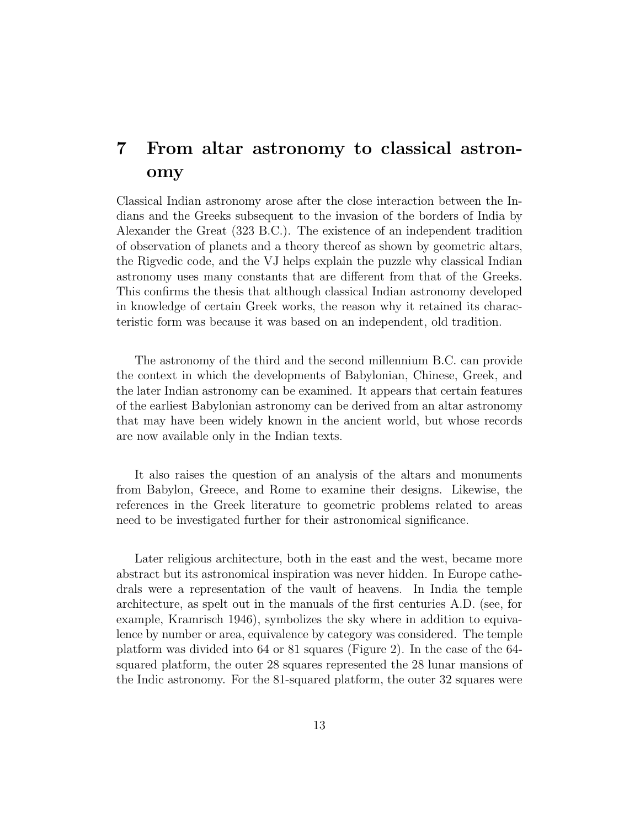# **7 From altar astronomy to classical astronomy**

Classical Indian astronomy arose after the close interaction between the Indians and the Greeks subsequent to the invasion of the borders of India by Alexander the Great (323 B.C.). The existence of an independent tradition of observation of planets and a theory thereof as shown by geometric altars, the Rigvedic code, and the VJ helps explain the puzzle why classical Indian astronomy uses many constants that are different from that of the Greeks. This confirms the thesis that although classical Indian astronomy developed in knowledge of certain Greek works, the reason why it retained its characteristic form was because it was based on an independent, old tradition.

The astronomy of the third and the second millennium B.C. can provide the context in which the developments of Babylonian, Chinese, Greek, and the later Indian astronomy can be examined. It appears that certain features of the earliest Babylonian astronomy can be derived from an altar astronomy that may have been widely known in the ancient world, but whose records are now available only in the Indian texts.

It also raises the question of an analysis of the altars and monuments from Babylon, Greece, and Rome to examine their designs. Likewise, the references in the Greek literature to geometric problems related to areas need to be investigated further for their astronomical significance.

Later religious architecture, both in the east and the west, became more abstract but its astronomical inspiration was never hidden. In Europe cathedrals were a representation of the vault of heavens. In India the temple architecture, as spelt out in the manuals of the first centuries A.D. (see, for example, Kramrisch 1946), symbolizes the sky where in addition to equivalence by number or area, equivalence by category was considered. The temple platform was divided into 64 or 81 squares (Figure 2). In the case of the 64 squared platform, the outer 28 squares represented the 28 lunar mansions of the Indic astronomy. For the 81-squared platform, the outer 32 squares were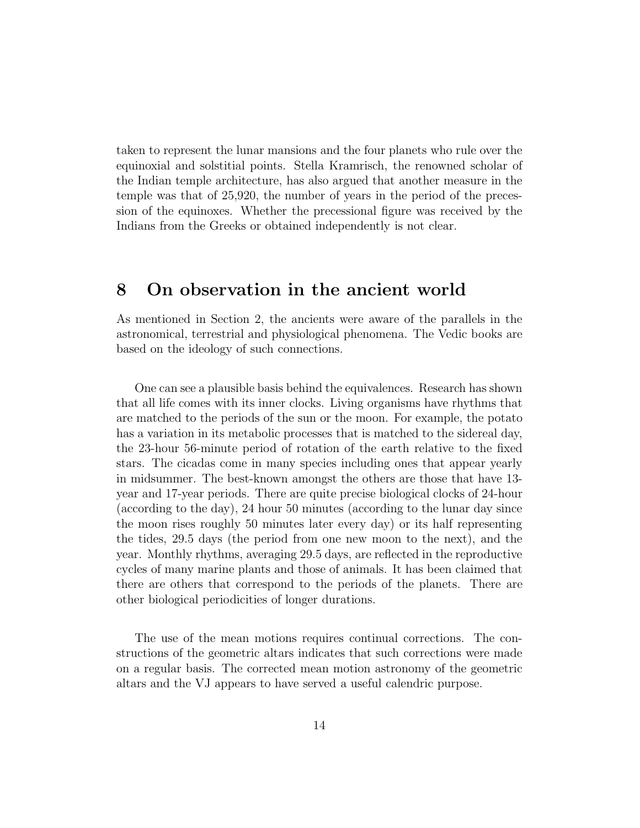taken to represent the lunar mansions and the four planets who rule over the equinoxial and solstitial points. Stella Kramrisch, the renowned scholar of the Indian temple architecture, has also argued that another measure in the temple was that of 25,920, the number of years in the period of the precession of the equinoxes. Whether the precessional figure was received by the Indians from the Greeks or obtained independently is not clear.

### **8 On observation in the ancient world**

As mentioned in Section 2, the ancients were aware of the parallels in the astronomical, terrestrial and physiological phenomena. The Vedic books are based on the ideology of such connections.

One can see a plausible basis behind the equivalences. Research has shown that all life comes with its inner clocks. Living organisms have rhythms that are matched to the periods of the sun or the moon. For example, the potato has a variation in its metabolic processes that is matched to the sidereal day, the 23-hour 56-minute period of rotation of the earth relative to the fixed stars. The cicadas come in many species including ones that appear yearly in midsummer. The best-known amongst the others are those that have 13 year and 17-year periods. There are quite precise biological clocks of 24-hour (according to the day), 24 hour 50 minutes (according to the lunar day since the moon rises roughly 50 minutes later every day) or its half representing the tides, 29.5 days (the period from one new moon to the next), and the year. Monthly rhythms, averaging 29.5 days, are reflected in the reproductive cycles of many marine plants and those of animals. It has been claimed that there are others that correspond to the periods of the planets. There are other biological periodicities of longer durations.

The use of the mean motions requires continual corrections. The constructions of the geometric altars indicates that such corrections were made on a regular basis. The corrected mean motion astronomy of the geometric altars and the VJ appears to have served a useful calendric purpose.